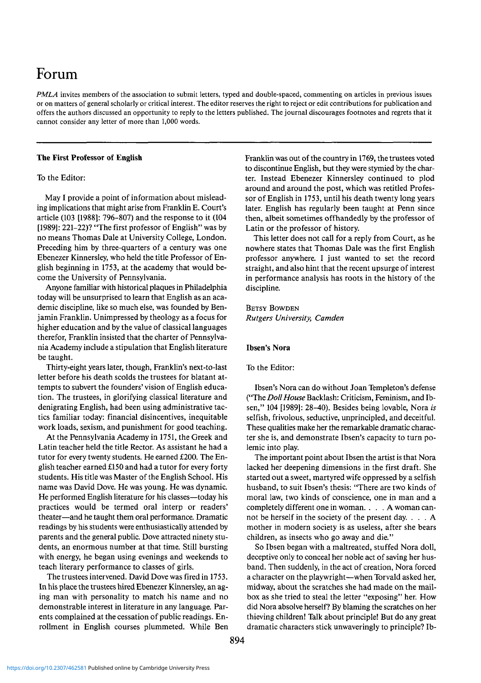# Forum

*PMLA* invites members of the association to submit letters, typed and double-spaced, commenting on articles in previous issues or on matters of general scholarly or critical interest. The editor reserves the right to reject or edit contributions for publication and offers the authors discussed an opportunity to reply to the letters published. The journal discourages footnotes and regrets that it cannot consider any letter of more than 1,000 words.

# **The First Professor of English**

# To the Editor:

May I provide a point of information about misleading implications that might arise from Franklin E. Court's article (103 [1988]: 796-807) and the response to it (104 [1989]: 221-22)? "The first professor of English" was by no means Thomas Dale at University College, London. Preceding him by three-quarters of a century was one Ebenezer Kinnersley, who held the title Professor of English beginning in 1753, at the academy that would become the University of Pennsylvania.

Anyone familiar with historical plaques in Philadelphia today will be unsurprised to learn that English as an academic discipline, like so much else, was founded by Benjamin Franklin. Unimpressed by theology as a focus for higher education and by the value of classical languages therefor, Franklin insisted that the charter of Pennsylvania Academy include a stipulation that English literature be taught.

Thirty-eight years later, though, Franklin's next-to-last letter before his death scolds the trustees for blatant attempts to subvert the founders' vision of English education. The trustees, in glorifying classical literature and denigrating English, had been using administrative tactics familiar today: financial disincentives, inequitable work loads, sexism, and punishment for good teaching.

At the Pennsylvania Academy in 1751, the Greek and Latin teacher held the title Rector. As assistant he had a tutor for every twenty students. He earned £200. The English teacher earned £150 and had a tutor for every forty students. His title was Master of the English School. His name was David Dove. He was young. He was dynamic. He performed English literature for his classes—today his practices would be termed oral interp or readers' theater—and he taught them oral performance. Dramatic readings by his students were enthusiastically attended by parents and the general public. Dove attracted ninety students, an enormous number at that time. Still bursting with energy, he began using evenings and weekends to teach literary performance to classes of girls.

The trustees intervened. David Dove was fired in 1753. In his place the trustees hired Ebenezer Kinnersley, an aging man with personality to match his name and no demonstrable interest in literature in any language. Parents complained at the cessation of public readings. Enrollment in English courses plummeted. While Ben Franklin was out of the country in 1769, the trustees voted to discontinue English, but they were stymied by the charter. Instead Ebenezer Kinnersley continued to plod around and around the post, which was retitled Professor of English in 1753, until his death twenty long years later. English has regularly been taught at Penn since then, albeit sometimes offhandedly by the professor of Latin or the professor of history.

This letter does not call for a reply from Court, as he nowhere states that Thomas Dale was the first English professor anywhere. I just wanted to set the record straight, and also hint that the recent upsurge of interest in performance analysis has roots in the history of the discipline.

BETSY BOWDEN *Rutgers University, Camden*

#### **Ibsen's Nora**

### To the Editor:

Ibsen's Nora can do without Joan Templeton's defense ("The*DollHouse*Backlash: Criticism, Feminism, and Ibsen," 104 [1989]: 28-40). Besides being lovable, Nora *is* selfish, frivolous, seductive, unprincipled, and deceitful. These qualities make her the remarkable dramatic character she is, and demonstrate Ibsen's capacity to turn polemic into play.

The important point about Ibsen the artist isthat Nora lacked her deepening dimensions in the first draft. She started out a sweet, martyred wife oppressed by a selfish husband, to suit Ibsen's thesis: "There are two kinds of moral law, two kinds of conscience, one in man and a completely different one in woman. ... <sup>A</sup> woman cannot be herself in the society of the present day. ... <sup>A</sup> mother in modern society is as useless, after she bears children, as insects who go away and die."

So Ibsen began with a maltreated, stuffed Nora doll, deceptive only to conceal her noble act of saving her husband. Then suddenly, in the act of creation, Nora forced a character on the playwright—when Torvald asked her, midway, about the scratches she had made on the mailbox as she tried to steal the letter "exposing" her. How did Nora absolve herself? By blaming the scratches on her thieving children! Talk about principle! But do any great dramatic characters stick unwaveringly to principle? Ib-